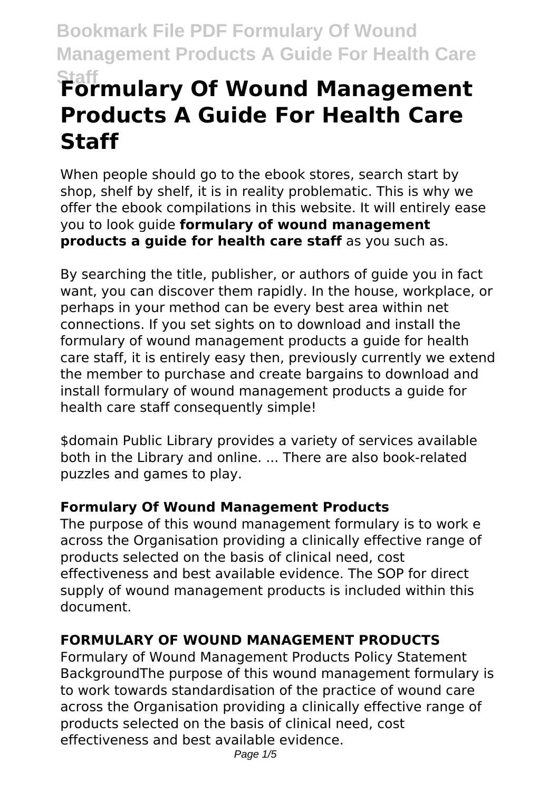# **Formulary Of Wound Management Products A Guide For Health Care Staff**

When people should go to the ebook stores, search start by shop, shelf by shelf, it is in reality problematic. This is why we offer the ebook compilations in this website. It will entirely ease you to look guide **formulary of wound management products a guide for health care staff** as you such as.

By searching the title, publisher, or authors of guide you in fact want, you can discover them rapidly. In the house, workplace, or perhaps in your method can be every best area within net connections. If you set sights on to download and install the formulary of wound management products a guide for health care staff, it is entirely easy then, previously currently we extend the member to purchase and create bargains to download and install formulary of wound management products a guide for health care staff consequently simple!

\$domain Public Library provides a variety of services available both in the Library and online. ... There are also book-related puzzles and games to play.

#### **Formulary Of Wound Management Products**

The purpose of this wound management formulary is to work e across the Organisation providing a clinically effective range of products selected on the basis of clinical need, cost effectiveness and best available evidence. The SOP for direct supply of wound management products is included within this document.

#### **FORMULARY OF WOUND MANAGEMENT PRODUCTS**

Formulary of Wound Management Products Policy Statement BackgroundThe purpose of this wound management formulary is to work towards standardisation of the practice of wound care across the Organisation providing a clinically effective range of products selected on the basis of clinical need, cost effectiveness and best available evidence.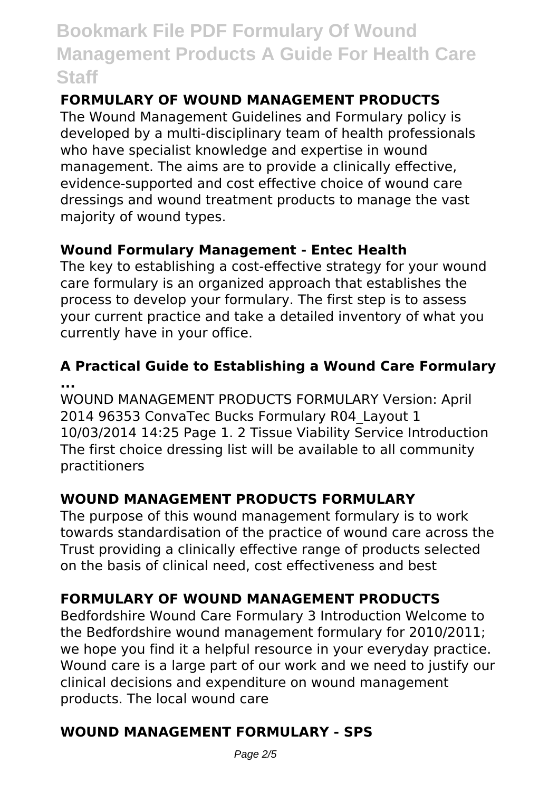#### **FORMULARY OF WOUND MANAGEMENT PRODUCTS**

The Wound Management Guidelines and Formulary policy is developed by a multi-disciplinary team of health professionals who have specialist knowledge and expertise in wound management. The aims are to provide a clinically effective, evidence-supported and cost effective choice of wound care dressings and wound treatment products to manage the vast majority of wound types.

#### **Wound Formulary Management - Entec Health**

The key to establishing a cost-effective strategy for your wound care formulary is an organized approach that establishes the process to develop your formulary. The first step is to assess your current practice and take a detailed inventory of what you currently have in your office.

#### **A Practical Guide to Establishing a Wound Care Formulary ...**

WOUND MANAGEMENT PRODUCTS FORMULARY Version: April 2014 96353 ConvaTec Bucks Formulary R04\_Layout 1 10/03/2014 14:25 Page 1. 2 Tissue Viability Service Introduction The first choice dressing list will be available to all community practitioners

#### **WOUND MANAGEMENT PRODUCTS FORMULARY**

The purpose of this wound management formulary is to work towards standardisation of the practice of wound care across the Trust providing a clinically effective range of products selected on the basis of clinical need, cost effectiveness and best

#### **FORMULARY OF WOUND MANAGEMENT PRODUCTS**

Bedfordshire Wound Care Formulary 3 Introduction Welcome to the Bedfordshire wound management formulary for 2010/2011; we hope you find it a helpful resource in your everyday practice. Wound care is a large part of our work and we need to justify our clinical decisions and expenditure on wound management products. The local wound care

#### **WOUND MANAGEMENT FORMULARY - SPS**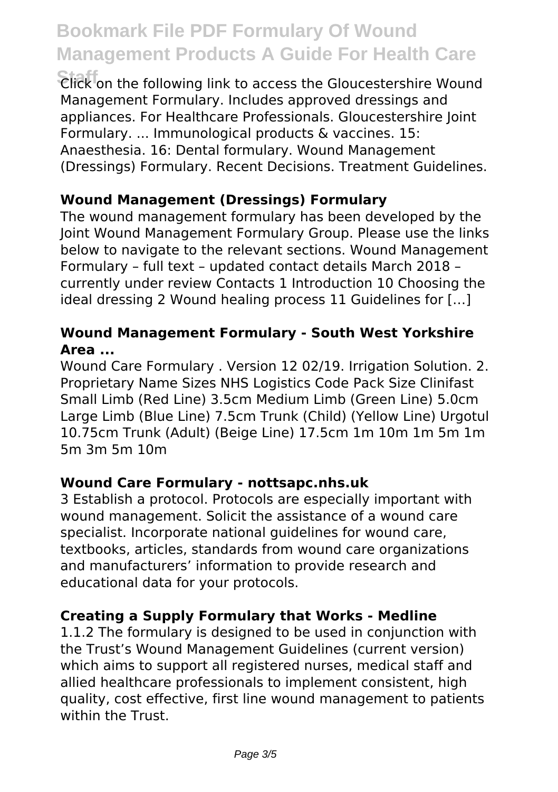**Staff** Click on the following link to access the Gloucestershire Wound Management Formulary. Includes approved dressings and appliances. For Healthcare Professionals. Gloucestershire Joint Formulary. ... Immunological products & vaccines. 15: Anaesthesia. 16: Dental formulary. Wound Management (Dressings) Formulary. Recent Decisions. Treatment Guidelines.

#### **Wound Management (Dressings) Formulary**

The wound management formulary has been developed by the Joint Wound Management Formulary Group. Please use the links below to navigate to the relevant sections. Wound Management Formulary – full text – updated contact details March 2018 – currently under review Contacts 1 Introduction 10 Choosing the ideal dressing 2 Wound healing process 11 Guidelines for […]

#### **Wound Management Formulary - South West Yorkshire Area ...**

Wound Care Formulary . Version 12 02/19. Irrigation Solution. 2. Proprietary Name Sizes NHS Logistics Code Pack Size Clinifast Small Limb (Red Line) 3.5cm Medium Limb (Green Line) 5.0cm Large Limb (Blue Line) 7.5cm Trunk (Child) (Yellow Line) Urgotul 10.75cm Trunk (Adult) (Beige Line) 17.5cm 1m 10m 1m 5m 1m 5m 3m 5m 10m

#### **Wound Care Formulary - nottsapc.nhs.uk**

3 Establish a protocol. Protocols are especially important with wound management. Solicit the assistance of a wound care specialist. Incorporate national guidelines for wound care, textbooks, articles, standards from wound care organizations and manufacturers' information to provide research and educational data for your protocols.

#### **Creating a Supply Formulary that Works - Medline**

1.1.2 The formulary is designed to be used in conjunction with the Trust's Wound Management Guidelines (current version) which aims to support all registered nurses, medical staff and allied healthcare professionals to implement consistent, high quality, cost effective, first line wound management to patients within the Trust.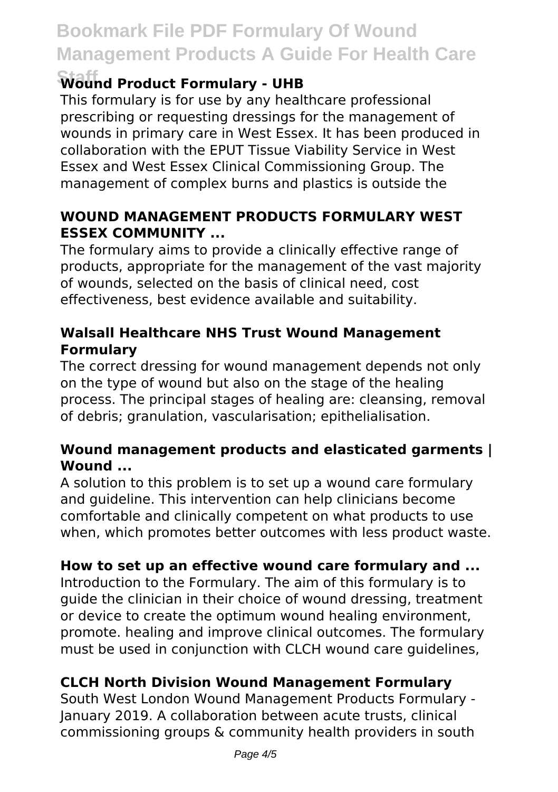#### **Staff Wound Product Formulary - UHB**

This formulary is for use by any healthcare professional prescribing or requesting dressings for the management of wounds in primary care in West Essex. It has been produced in collaboration with the EPUT Tissue Viability Service in West Essex and West Essex Clinical Commissioning Group. The management of complex burns and plastics is outside the

#### **WOUND MANAGEMENT PRODUCTS FORMULARY WEST ESSEX COMMUNITY ...**

The formulary aims to provide a clinically effective range of products, appropriate for the management of the vast majority of wounds, selected on the basis of clinical need, cost effectiveness, best evidence available and suitability.

#### **Walsall Healthcare NHS Trust Wound Management Formulary**

The correct dressing for wound management depends not only on the type of wound but also on the stage of the healing process. The principal stages of healing are: cleansing, removal of debris; granulation, vascularisation; epithelialisation.

#### **Wound management products and elasticated garments | Wound ...**

A solution to this problem is to set up a wound care formulary and guideline. This intervention can help clinicians become comfortable and clinically competent on what products to use when, which promotes better outcomes with less product waste.

#### **How to set up an effective wound care formulary and ...**

Introduction to the Formulary. The aim of this formulary is to guide the clinician in their choice of wound dressing, treatment or device to create the optimum wound healing environment, promote. healing and improve clinical outcomes. The formulary must be used in conjunction with CLCH wound care guidelines,

#### **CLCH North Division Wound Management Formulary**

South West London Wound Management Products Formulary - January 2019. A collaboration between acute trusts, clinical commissioning groups & community health providers in south